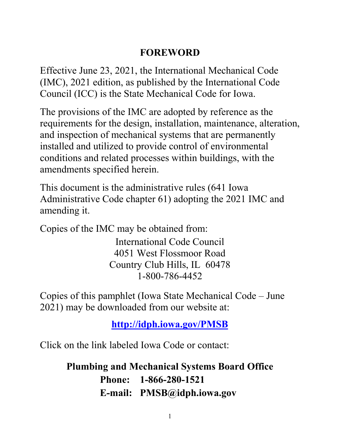# **FOREWORD**

Effective June 23, 2021, the International Mechanical Code (IMC), 2021 edition, as published by the International Code Council (ICC) is the State Mechanical Code for Iowa.

The provisions of the IMC are adopted by reference as the requirements for the design, installation, maintenance, alteration, and inspection of mechanical systems that are permanently installed and utilized to provide control of environmental conditions and related processes within buildings, with the amendments specified herein.

This document is the administrative rules (641 Iowa Administrative Code chapter 61) adopting the 2021 IMC and amending it.

Copies of the IMC may be obtained from:

International Code Council 4051 West Flossmoor Road Country Club Hills, IL 60478 1-800-786-4452

Copies of this pamphlet (Iowa State Mechanical Code – June 2021) may be downloaded from our website at:

**<http://idph.iowa.gov/PMSB>**

Click on the link labeled Iowa Code or contact:

**Plumbing and Mechanical Systems Board Office Phone: 1-866-280-1521 E-mail: PMSB@idph.iowa.gov**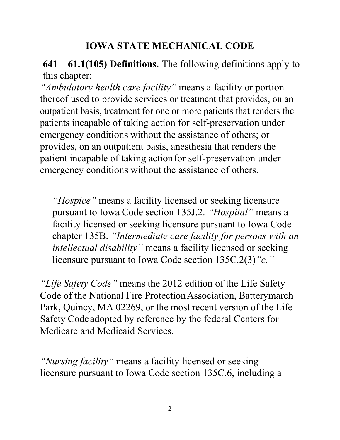# **IOWA STATE MECHANICAL CODE**

**641—61.1(105) Definitions.** The following definitions apply to this chapter:

*"Ambulatory health care facility"* means a facility or portion thereof used to provide services or treatment that provides, on an outpatient basis, treatment for one or more patients that renders the patients incapable of taking action for self-preservation under emergency conditions without the assistance of others; or provides, on an outpatient basis, anesthesia that renders the patient incapable of taking actionfor self-preservation under emergency conditions without the assistance of others.

*"Hospice"* means a facility licensed or seeking licensure pursuant to Iowa Code section [135J.2.](https://www.legis.iowa.gov/docs/ico/section/135J.2.pdf) *"Hospital"* means a facility licensed or seeking licensure pursuant to Iowa Code chapter [135B.](https://www.legis.iowa.gov/docs/ico/chapter/135B.pdf) *"Intermediate care facility for persons with an intellectual disability"* means a facility licensed or seeking licensure pursuant to Iowa Code section [135C.2\(3\)](https://www.legis.iowa.gov/docs/ico/section/135C.2.pdf)*"c."*

*"Life Safety Code"* means the 2012 edition of the Life Safety Code of the National Fire Protection Association, Batterymarch Park, Quincy, MA 02269, or the most recent version of the Life Safety Codeadopted by reference by the federal Centers for Medicare and Medicaid Services.

*"Nursing facility"* means a facility licensed or seeking licensure pursuant to Iowa Code section [135C.6,](https://www.legis.iowa.gov/docs/ico/section/135C.6.pdf) including a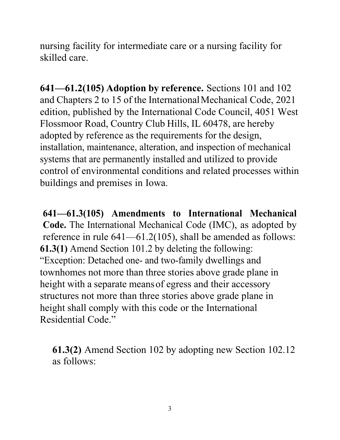nursing facility for intermediate care or a nursing facility for skilled care.

**641—61.2(105) Adoption by reference.** Sections 101 and 102 and Chapters 2 to 15 of the International Mechanical Code, 2021 edition, published by the International Code Council, 4051 West Flossmoor Road, Country Club Hills, IL 60478, are hereby adopted by reference as the requirements for the design, installation, maintenance, alteration, and inspection of mechanical systems that are permanently installed and utilized to provide control of environmental conditions and related processes within buildings and premises in Iowa.

**641—61.3(105) Amendments to International Mechanical Code.** The International Mechanical Code (IMC), as adopted by reference in rule 641—61.2(105), shall be amended as follows: **61.3(1)** Amend Section 101.2 by deleting the following: "Exception: Detached one- and two-family dwellings and townhomes not more than three stories above grade plane in height with a separate meansof egress and their accessory structures not more than three stories above grade plane in height shall comply with this code or the International Residential Code."

**61.3(2)** Amend Section 102 by adopting new Section 102.12 as follows: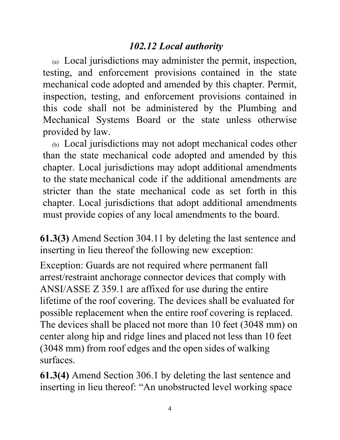# *102.12 Local authority*

(a) Local jurisdictions may administer the permit, inspection, testing, and enforcement provisions contained in the state mechanical code adopted and amended by this chapter. Permit, inspection, testing, and enforcement provisions contained in this code shall not be administered by the Plumbing and Mechanical Systems Board or the state unless otherwise provided by law.

(b) Local jurisdictions may not adopt mechanical codes other than the state mechanical code adopted and amended by this chapter. Local jurisdictions may adopt additional amendments to the state mechanical code if the additional amendments are stricter than the state mechanical code as set forth in this chapter. Local jurisdictions that adopt additional amendments must provide copies of any local amendments to the board.

**61.3(3)** Amend Section 304.11 by deleting the last sentence and inserting in lieu thereof the following new exception:

Exception: Guards are not required where permanent fall arrest/restraint anchorage connector devices that comply with ANSI/ASSE Z 359.1 are affixed for use during the entire lifetime of the roof covering. The devices shall be evaluated for possible replacement when the entire roof covering is replaced. The devices shall be placed not more than 10 feet (3048 mm) on center along hip and ridge lines and placed not less than 10 feet (3048 mm) from roof edges and the open sides of walking surfaces.

**61.3(4)** Amend Section 306.1 by deleting the last sentence and inserting in lieu thereof: "An unobstructed level working space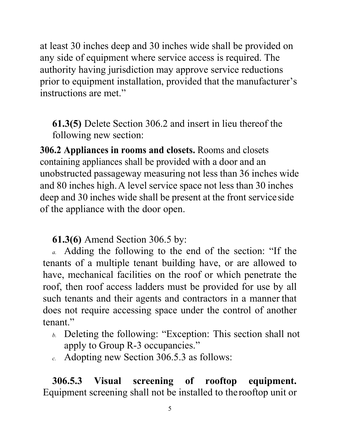at least 30 inches deep and 30 inches wide shall be provided on any side of equipment where service access is required. The authority having jurisdiction may approve service reductions prior to equipment installation, provided that the manufacturer's instructions are met."

**61.3(5)** Delete Section 306.2 and insert in lieu thereof the following new section:

**306.2 Appliances in rooms and closets.** Rooms and closets containing appliances shall be provided with a door and an unobstructed passageway measuring not less than 36 inches wide and 80 inches high.A level service space not less than 30 inches deep and 30 inches wide shall be present at the front service side of the appliance with the door open.

**61.3(6)** Amend Section 306.5 by:

*a.* Adding the following to the end of the section: "If the tenants of a multiple tenant building have, or are allowed to have, mechanical facilities on the roof or which penetrate the roof, then roof access ladders must be provided for use by all such tenants and their agents and contractors in a manner that does not require accessing space under the control of another tenant."

- *b.* Deleting the following: "Exception: This section shall not apply to Group R-3 occupancies."
- *c.* Adopting new Section 306.5.3 as follows:

**306.5.3 Visual screening of rooftop equipment.**  Equipment screening shall not be installed to the rooftop unit or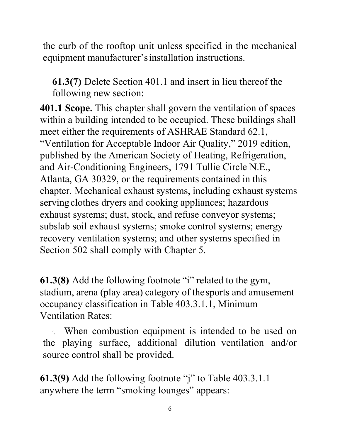the curb of the rooftop unit unless specified in the mechanical equipment manufacturer'sinstallation instructions.

**61.3(7)** Delete Section 401.1 and insert in lieu thereof the following new section:

**401.1 Scope.** This chapter shall govern the ventilation of spaces within a building intended to be occupied. These buildings shall meet either the requirements of ASHRAE Standard 62.1, "Ventilation for Acceptable Indoor Air Quality," 2019 edition, published by the American Society of Heating, Refrigeration, and Air-Conditioning Engineers, 1791 Tullie Circle N.E., Atlanta, GA 30329, or the requirements contained in this chapter. Mechanical exhaust systems, including exhaust systems serving clothes dryers and cooking appliances; hazardous exhaust systems; dust, stock, and refuse conveyor systems; subslab soil exhaust systems; smoke control systems; energy recovery ventilation systems; and other systems specified in Section 502 shall comply with Chapter 5.

**61.3(8)** Add the following footnote "i" related to the gym, stadium, arena (play area) category of the sports and amusement occupancy classification in Table 403.3.1.1, Minimum Ventilation Rates:

i. When combustion equipment is intended to be used on the playing surface, additional dilution ventilation and/or source control shall be provided.

**61.3(9)** Add the following footnote "j" to Table 403.3.1.1 anywhere the term "smoking lounges" appears: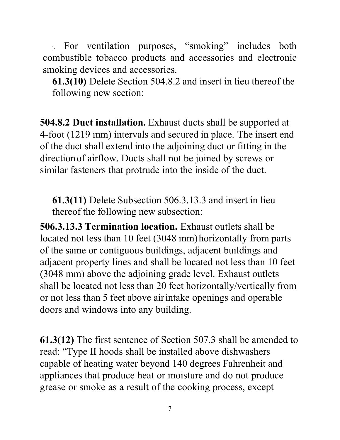j. For ventilation purposes, "smoking" includes both combustible tobacco products and accessories and electronic smoking devices and accessories.

**61.3(10)** Delete Section 504.8.2 and insert in lieu thereof the following new section:

**504.8.2 Duct installation.** Exhaust ducts shall be supported at 4-foot (1219 mm) intervals and secured in place. The insert end of the duct shall extend into the adjoining duct or fitting in the directionof airflow. Ducts shall not be joined by screws or similar fasteners that protrude into the inside of the duct.

**61.3(11)** Delete Subsection 506.3.13.3 and insert in lieu thereof the following new subsection:

**506.3.13.3 Termination location.** Exhaust outlets shall be located not less than 10 feet (3048 mm) horizontally from parts of the same or contiguous buildings, adjacent buildings and adjacent property lines and shall be located not less than 10 feet (3048 mm) above the adjoining grade level. Exhaust outlets shall be located not less than 20 feet horizontally/vertically from or not less than 5 feet above airintake openings and operable doors and windows into any building.

**61.3(12)** The first sentence of Section 507.3 shall be amended to read: "Type II hoods shall be installed above dishwashers capable of heating water beyond 140 degrees Fahrenheit and appliances that produce heat or moisture and do not produce grease or smoke as a result of the cooking process, except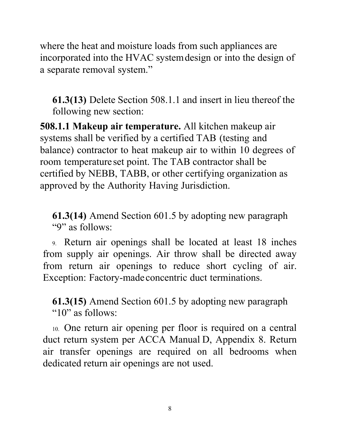where the heat and moisture loads from such appliances are incorporated into the HVAC systemdesign or into the design of a separate removal system."

**61.3(13)** Delete Section 508.1.1 and insert in lieu thereof the following new section:

**508.1.1 Makeup air temperature.** All kitchen makeup air systems shall be verified by a certified TAB (testing and balance) contractor to heat makeup air to within 10 degrees of room temperature set point. The TAB contractor shall be certified by NEBB, TABB, or other certifying organization as approved by the Authority Having Jurisdiction.

**61.3(14)** Amend Section 601.5 by adopting new paragraph "9" as follows:

9. Return air openings shall be located at least 18 inches from supply air openings. Air throw shall be directed away from return air openings to reduce short cycling of air. Exception: Factory-madeconcentric duct terminations.

**61.3(15)** Amend Section 601.5 by adopting new paragraph "10" as follows:

10. One return air opening per floor is required on a central duct return system per ACCA Manual D, Appendix 8. Return air transfer openings are required on all bedrooms when dedicated return air openings are not used.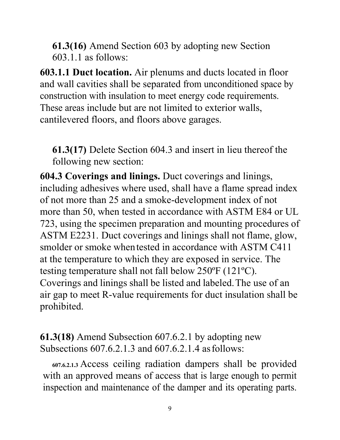**61.3(16)** Amend Section 603 by adopting new Section 603.1.1 as follows:

**603.1.1 Duct location.** Air plenums and ducts located in floor and wall cavities shall be separated from unconditioned space by construction with insulation to meet energy code requirements. These areas include but are not limited to exterior walls, cantilevered floors, and floors above garages.

**61.3(17)** Delete Section 604.3 and insert in lieu thereof the following new section:

**604.3 Coverings and linings.** Duct coverings and linings, including adhesives where used, shall have a flame spread index of not more than 25 and a smoke-development index of not more than 50, when tested in accordance with ASTM E84 or UL 723, using the specimen preparation and mounting procedures of ASTM E2231. Duct coverings and linings shall not flame, glow, smolder or smoke whentested in accordance with ASTM C411 at the temperature to which they are exposed in service. The testing temperature shall not fall below 250ºF (121ºC). Coverings and linings shall be listed and labeled.The use of an air gap to meet R-value requirements for duct insulation shall be prohibited.

**61.3(18)** Amend Subsection 607.6.2.1 by adopting new Subsections 607.6.2.1.3 and 607.6.2.1.4 asfollows:

**607.6.2.1.3** Access ceiling radiation dampers shall be provided with an approved means of access that is large enough to permit inspection and maintenance of the damper and its operating parts.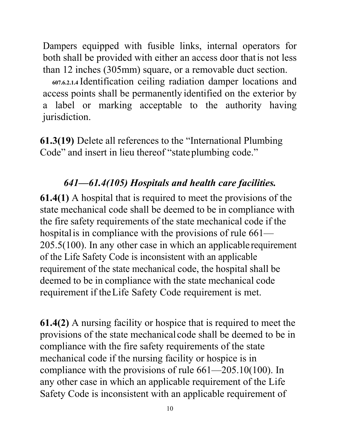Dampers equipped with fusible links, internal operators for both shall be provided with either an access door thatis not less than 12 inches (305mm) square, or a removable duct section.

**607.6.2.1.4** Identification ceiling radiation damper locations and access points shall be permanently identified on the exterior by a label or marking acceptable to the authority having jurisdiction.

**61.3(19)** Delete all references to the "International Plumbing Code" and insert in lieu thereof "state plumbing code."

## *641—61.4(105) Hospitals and health care facilities.*

**61.4(1)** A hospital that is required to meet the provisions of the state mechanical code shall be deemed to be in compliance with the fire safety requirements of the state mechanical code if the hospital is in compliance with the provisions of rule [661—](https://www.legis.iowa.gov/docs/iac/rule/661.205.5.pdf) [205.5\(](https://www.legis.iowa.gov/docs/iac/rule/661.205.5.pdf)100). In any other case in which an applicable requirement of the Life Safety Code is inconsistent with an applicable requirement of the state mechanical code, the hospital shall be deemed to be in compliance with the state mechanical code requirement if theLife Safety Code requirement is met.

**61.4(2)** A nursing facility or hospice that is required to meet the provisions of the state mechanical code shall be deemed to be in compliance with the fire safety requirements of the state mechanical code if the nursing facility or hospice is in compliance with the provisions of rule [661—205.10\(](https://www.legis.iowa.gov/docs/iac/rule/661.205.10.pdf)100). In any other case in which an applicable requirement of the Life Safety Code is inconsistent with an applicable requirement of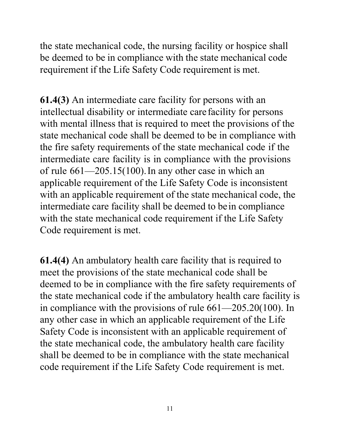the state mechanical code, the nursing facility or hospice shall be deemed to be in compliance with the state mechanical code requirement if the Life Safety Code requirement is met.

**61.4(3)** An intermediate care facility for persons with an intellectual disability or intermediate care facility for persons with mental illness that is required to meet the provisions of the state mechanical code shall be deemed to be in compliance with the fire safety requirements of the state mechanical code if the intermediate care facility is in compliance with the provisions of rule  $661 - 205.15(100)$ . In any other case in which an applicable requirement of the Life Safety Code is inconsistent with an applicable requirement of the state mechanical code, the intermediate care facility shall be deemed to be in compliance with the state mechanical code requirement if the Life Safety Code requirement is met.

**61.4(4)** An ambulatory health care facility that is required to meet the provisions of the state mechanical code shall be deemed to be in compliance with the fire safety requirements of the state mechanical code if the ambulatory health care facility is in compliance with the provisions of rule [661—205.20\(](https://www.legis.iowa.gov/docs/iac/rule/661.205.20.pdf)100). In any other case in which an applicable requirement of the Life Safety Code is inconsistent with an applicable requirement of the state mechanical code, the ambulatory health care facility shall be deemed to be in compliance with the state mechanical code requirement if the Life Safety Code requirement is met.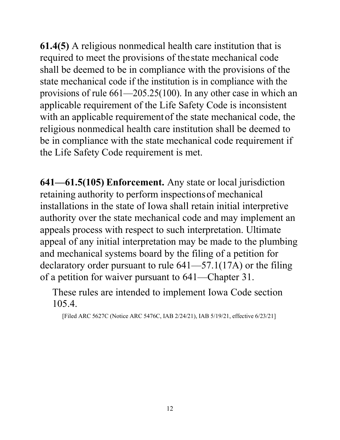**61.4(5)** A religious nonmedical health care institution that is required to meet the provisions of the state mechanical code shall be deemed to be in compliance with the provisions of the state mechanical code if the institution is in compliance with the provisions of rule [661—205.25\(](https://www.legis.iowa.gov/docs/iac/rule/661.205.25.pdf)100). In any other case in which an applicable requirement of the Life Safety Code is inconsistent with an applicable requirementof the state mechanical code, the religious nonmedical health care institution shall be deemed to be in compliance with the state mechanical code requirement if the Life Safety Code requirement is met.

**641—61.5(105) Enforcement.** Any state or local jurisdiction retaining authority to perform inspectionsof mechanical installations in the state of Iowa shall retain initial interpretive authority over the state mechanical code and may implement an appeals process with respect to such interpretation. Ultimate appeal of any initial interpretation may be made to the plumbing and mechanical systems board by the filing of a petition for declaratory order pursuant to rule [641—57.1\(](https://www.legis.iowa.gov/docs/iac/rule/641.57.1.pdf)17A) or the filing of a petition for waiver pursuant to [641—Chapter](https://www.legis.iowa.gov/docs/iac/chapter/641.31.pdf) 31.

These rules are intended to implement Iowa Code section [105.4.](https://www.legis.iowa.gov/docs/ico/section/105.4.pdf)

[Filed ARC [5627C](https://www.legis.iowa.gov/docs/aco/arc/5627C.pdf) [\(Notice](https://www.legis.iowa.gov/docs/aco/arc/5476C.pdf) ARC 5476C, IAB 2/24/21), IAB 5/19/21, effective 6/23/21]